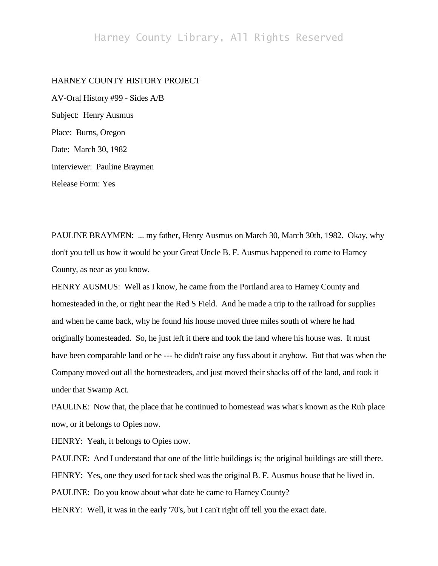## Harney County Library, All Rights Reserved

## HARNEY COUNTY HISTORY PROJECT

AV-Oral History #99 - Sides A/B Subject: Henry Ausmus Place: Burns, Oregon Date: March 30, 1982 Interviewer: Pauline Braymen Release Form: Yes

PAULINE BRAYMEN: ... my father, Henry Ausmus on March 30, March 30th, 1982. Okay, why don't you tell us how it would be your Great Uncle B. F. Ausmus happened to come to Harney County, as near as you know.

HENRY AUSMUS: Well as I know, he came from the Portland area to Harney County and homesteaded in the, or right near the Red S Field. And he made a trip to the railroad for supplies and when he came back, why he found his house moved three miles south of where he had originally homesteaded. So, he just left it there and took the land where his house was. It must have been comparable land or he --- he didn't raise any fuss about it anyhow. But that was when the Company moved out all the homesteaders, and just moved their shacks off of the land, and took it under that Swamp Act.

PAULINE: Now that, the place that he continued to homestead was what's known as the Ruh place now, or it belongs to Opies now.

HENRY: Yeah, it belongs to Opies now.

PAULINE: And I understand that one of the little buildings is; the original buildings are still there. HENRY: Yes, one they used for tack shed was the original B. F. Ausmus house that he lived in. PAULINE: Do you know about what date he came to Harney County? HENRY: Well, it was in the early '70's, but I can't right off tell you the exact date.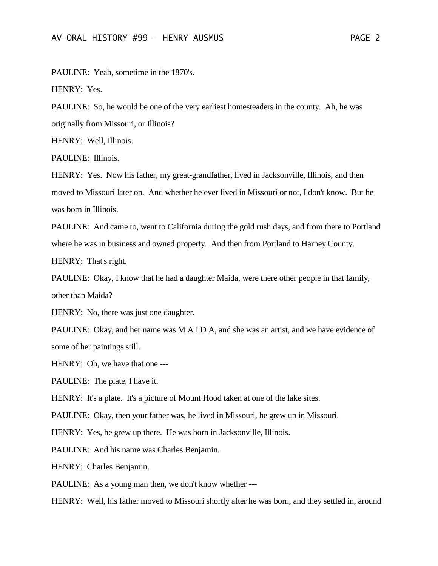PAULINE: Yeah, sometime in the 1870's.

HENRY: Yes.

PAULINE: So, he would be one of the very earliest homesteaders in the county. Ah, he was originally from Missouri, or Illinois?

HENRY: Well, Illinois.

PAULINE: Illinois.

HENRY: Yes. Now his father, my great-grandfather, lived in Jacksonville, Illinois, and then moved to Missouri later on. And whether he ever lived in Missouri or not, I don't know. But he was born in Illinois.

PAULINE: And came to, went to California during the gold rush days, and from there to Portland where he was in business and owned property. And then from Portland to Harney County.

HENRY: That's right.

PAULINE: Okay, I know that he had a daughter Maida, were there other people in that family, other than Maida?

HENRY: No, there was just one daughter.

PAULINE: Okay, and her name was M A I D A, and she was an artist, and we have evidence of some of her paintings still.

HENRY: Oh, we have that one ---

PAULINE: The plate, I have it.

HENRY: It's a plate. It's a picture of Mount Hood taken at one of the lake sites.

PAULINE: Okay, then your father was, he lived in Missouri, he grew up in Missouri.

HENRY: Yes, he grew up there. He was born in Jacksonville, Illinois.

PAULINE: And his name was Charles Benjamin.

HENRY: Charles Benjamin.

PAULINE: As a young man then, we don't know whether ---

HENRY: Well, his father moved to Missouri shortly after he was born, and they settled in, around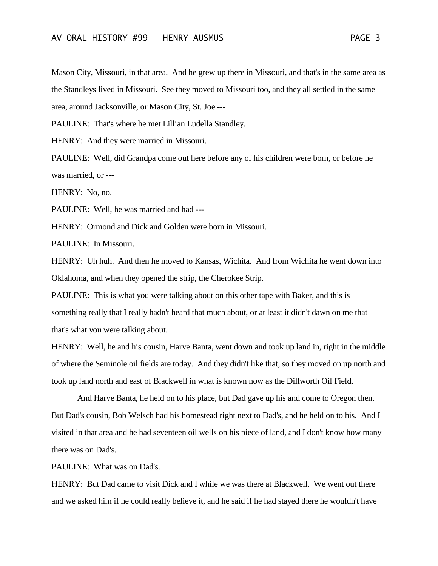Mason City, Missouri, in that area. And he grew up there in Missouri, and that's in the same area as the Standleys lived in Missouri. See they moved to Missouri too, and they all settled in the same area, around Jacksonville, or Mason City, St. Joe ---

PAULINE: That's where he met Lillian Ludella Standley.

HENRY: And they were married in Missouri.

PAULINE: Well, did Grandpa come out here before any of his children were born, or before he was married, or ---

HENRY: No, no.

PAULINE: Well, he was married and had ---

HENRY: Ormond and Dick and Golden were born in Missouri.

PAULINE: In Missouri.

HENRY: Uh huh. And then he moved to Kansas, Wichita. And from Wichita he went down into Oklahoma, and when they opened the strip, the Cherokee Strip.

PAULINE: This is what you were talking about on this other tape with Baker, and this is something really that I really hadn't heard that much about, or at least it didn't dawn on me that that's what you were talking about.

HENRY: Well, he and his cousin, Harve Banta, went down and took up land in, right in the middle of where the Seminole oil fields are today. And they didn't like that, so they moved on up north and took up land north and east of Blackwell in what is known now as the Dillworth Oil Field.

And Harve Banta, he held on to his place, but Dad gave up his and come to Oregon then. But Dad's cousin, Bob Welsch had his homestead right next to Dad's, and he held on to his. And I visited in that area and he had seventeen oil wells on his piece of land, and I don't know how many there was on Dad's.

PAULINE: What was on Dad's.

HENRY: But Dad came to visit Dick and I while we was there at Blackwell. We went out there and we asked him if he could really believe it, and he said if he had stayed there he wouldn't have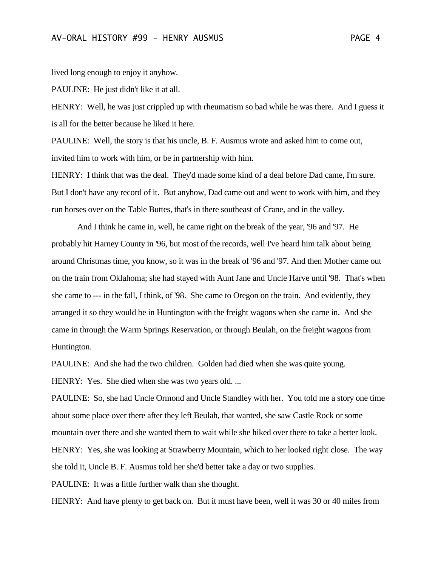lived long enough to enjoy it anyhow.

PAULINE: He just didn't like it at all.

HENRY: Well, he was just crippled up with rheumatism so bad while he was there. And I guess it is all for the better because he liked it here.

PAULINE: Well, the story is that his uncle, B. F. Ausmus wrote and asked him to come out, invited him to work with him, or be in partnership with him.

HENRY: I think that was the deal. They'd made some kind of a deal before Dad came, I'm sure. But I don't have any record of it. But anyhow, Dad came out and went to work with him, and they run horses over on the Table Buttes, that's in there southeast of Crane, and in the valley.

And I think he came in, well, he came right on the break of the year, '96 and '97. He probably hit Harney County in '96, but most of the records, well I've heard him talk about being around Christmas time, you know, so it was in the break of '96 and '97. And then Mother came out on the train from Oklahoma; she had stayed with Aunt Jane and Uncle Harve until '98. That's when she came to --- in the fall, I think, of '98. She came to Oregon on the train. And evidently, they arranged it so they would be in Huntington with the freight wagons when she came in. And she came in through the Warm Springs Reservation, or through Beulah, on the freight wagons from Huntington.

PAULINE: And she had the two children. Golden had died when she was quite young.

HENRY: Yes. She died when she was two years old. ...

PAULINE: So, she had Uncle Ormond and Uncle Standley with her. You told me a story one time about some place over there after they left Beulah, that wanted, she saw Castle Rock or some mountain over there and she wanted them to wait while she hiked over there to take a better look.

HENRY: Yes, she was looking at Strawberry Mountain, which to her looked right close. The way she told it, Uncle B. F. Ausmus told her she'd better take a day or two supplies.

PAULINE: It was a little further walk than she thought.

HENRY: And have plenty to get back on. But it must have been, well it was 30 or 40 miles from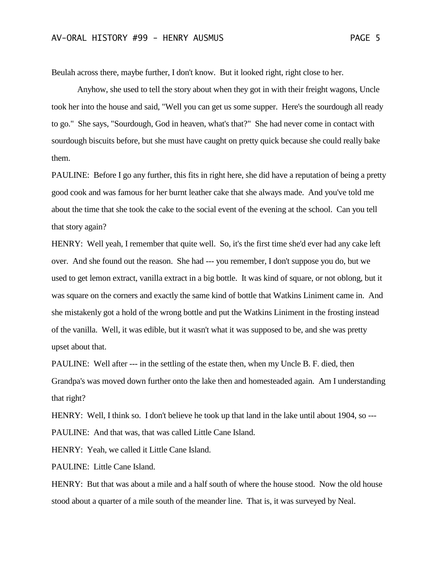Beulah across there, maybe further, I don't know. But it looked right, right close to her.

Anyhow, she used to tell the story about when they got in with their freight wagons, Uncle took her into the house and said, "Well you can get us some supper. Here's the sourdough all ready to go." She says, "Sourdough, God in heaven, what's that?" She had never come in contact with sourdough biscuits before, but she must have caught on pretty quick because she could really bake them.

PAULINE: Before I go any further, this fits in right here, she did have a reputation of being a pretty good cook and was famous for her burnt leather cake that she always made. And you've told me about the time that she took the cake to the social event of the evening at the school. Can you tell that story again?

HENRY: Well yeah, I remember that quite well. So, it's the first time she'd ever had any cake left over. And she found out the reason. She had --- you remember, I don't suppose you do, but we used to get lemon extract, vanilla extract in a big bottle. It was kind of square, or not oblong, but it was square on the corners and exactly the same kind of bottle that Watkins Liniment came in. And she mistakenly got a hold of the wrong bottle and put the Watkins Liniment in the frosting instead of the vanilla. Well, it was edible, but it wasn't what it was supposed to be, and she was pretty upset about that.

PAULINE: Well after --- in the settling of the estate then, when my Uncle B. F. died, then Grandpa's was moved down further onto the lake then and homesteaded again. Am I understanding that right?

HENRY: Well, I think so. I don't believe he took up that land in the lake until about 1904, so ---PAULINE: And that was, that was called Little Cane Island.

HENRY: Yeah, we called it Little Cane Island.

PAULINE: Little Cane Island.

HENRY: But that was about a mile and a half south of where the house stood. Now the old house stood about a quarter of a mile south of the meander line. That is, it was surveyed by Neal.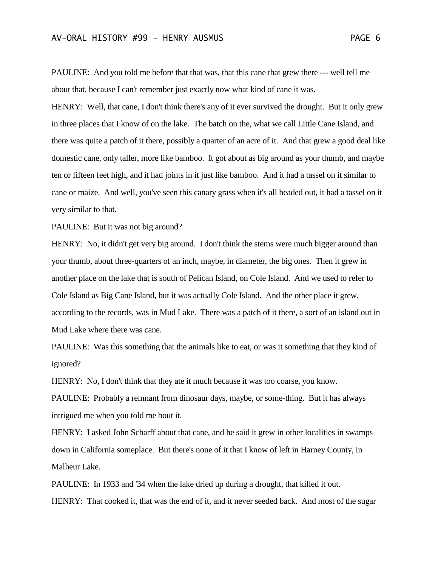PAULINE: And you told me before that that was, that this cane that grew there --- well tell me about that, because I can't remember just exactly now what kind of cane it was.

HENRY: Well, that cane, I don't think there's any of it ever survived the drought. But it only grew in three places that I know of on the lake. The batch on the, what we call Little Cane Island, and there was quite a patch of it there, possibly a quarter of an acre of it. And that grew a good deal like domestic cane, only taller, more like bamboo. It got about as big around as your thumb, and maybe ten or fifteen feet high, and it had joints in it just like bamboo. And it had a tassel on it similar to cane or maize. And well, you've seen this canary grass when it's all headed out, it had a tassel on it very similar to that.

PAULINE: But it was not big around?

HENRY: No, it didn't get very big around. I don't think the stems were much bigger around than your thumb, about three-quarters of an inch, maybe, in diameter, the big ones. Then it grew in another place on the lake that is south of Pelican Island, on Cole Island. And we used to refer to Cole Island as Big Cane Island, but it was actually Cole Island. And the other place it grew, according to the records, was in Mud Lake. There was a patch of it there, a sort of an island out in Mud Lake where there was cane.

PAULINE: Was this something that the animals like to eat, or was it something that they kind of ignored?

HENRY: No, I don't think that they ate it much because it was too coarse, you know.

PAULINE: Probably a remnant from dinosaur days, maybe, or some-thing. But it has always intrigued me when you told me bout it.

HENRY: I asked John Scharff about that cane, and he said it grew in other localities in swamps down in California someplace. But there's none of it that I know of left in Harney County, in Malheur Lake.

PAULINE: In 1933 and '34 when the lake dried up during a drought, that killed it out. HENRY: That cooked it, that was the end of it, and it never seeded back. And most of the sugar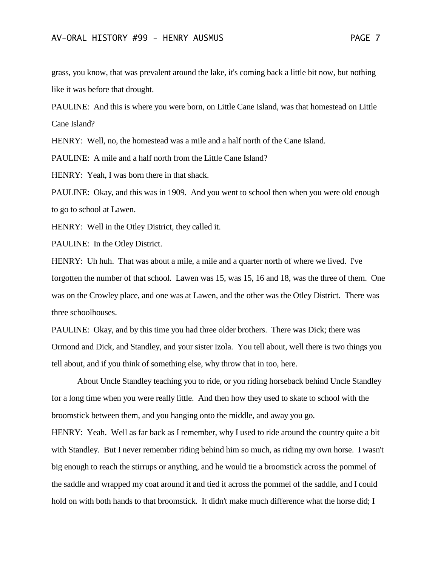grass, you know, that was prevalent around the lake, it's coming back a little bit now, but nothing like it was before that drought.

PAULINE: And this is where you were born, on Little Cane Island, was that homestead on Little Cane Island?

HENRY: Well, no, the homestead was a mile and a half north of the Cane Island.

PAULINE: A mile and a half north from the Little Cane Island?

HENRY: Yeah, I was born there in that shack.

PAULINE: Okay, and this was in 1909. And you went to school then when you were old enough to go to school at Lawen.

HENRY: Well in the Otley District, they called it.

PAULINE: In the Otley District.

HENRY: Uh huh. That was about a mile, a mile and a quarter north of where we lived. I've forgotten the number of that school. Lawen was 15, was 15, 16 and 18, was the three of them. One was on the Crowley place, and one was at Lawen, and the other was the Otley District. There was three schoolhouses.

PAULINE: Okay, and by this time you had three older brothers. There was Dick; there was Ormond and Dick, and Standley, and your sister Izola. You tell about, well there is two things you tell about, and if you think of something else, why throw that in too, here.

About Uncle Standley teaching you to ride, or you riding horseback behind Uncle Standley for a long time when you were really little. And then how they used to skate to school with the broomstick between them, and you hanging onto the middle, and away you go. HENRY: Yeah. Well as far back as I remember, why I used to ride around the country quite a bit with Standley. But I never remember riding behind him so much, as riding my own horse. I wasn't big enough to reach the stirrups or anything, and he would tie a broomstick across the pommel of the saddle and wrapped my coat around it and tied it across the pommel of the saddle, and I could hold on with both hands to that broomstick. It didn't make much difference what the horse did; I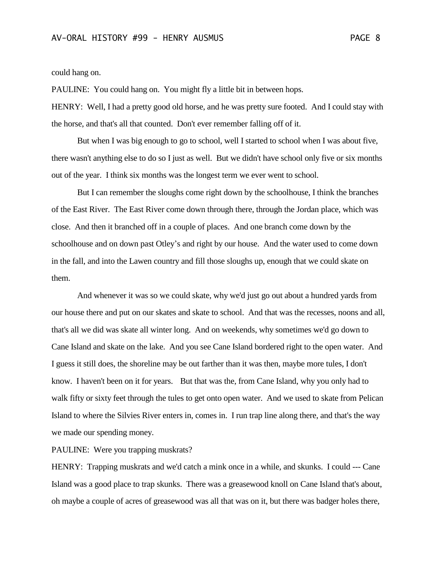could hang on.

PAULINE: You could hang on. You might fly a little bit in between hops.

HENRY: Well, I had a pretty good old horse, and he was pretty sure footed. And I could stay with the horse, and that's all that counted. Don't ever remember falling off of it.

But when I was big enough to go to school, well I started to school when I was about five, there wasn't anything else to do so I just as well. But we didn't have school only five or six months out of the year. I think six months was the longest term we ever went to school.

But I can remember the sloughs come right down by the schoolhouse, I think the branches of the East River. The East River come down through there, through the Jordan place, which was close. And then it branched off in a couple of places. And one branch come down by the schoolhouse and on down past Otley's and right by our house. And the water used to come down in the fall, and into the Lawen country and fill those sloughs up, enough that we could skate on them.

And whenever it was so we could skate, why we'd just go out about a hundred yards from our house there and put on our skates and skate to school. And that was the recesses, noons and all, that's all we did was skate all winter long. And on weekends, why sometimes we'd go down to Cane Island and skate on the lake. And you see Cane Island bordered right to the open water. And I guess it still does, the shoreline may be out farther than it was then, maybe more tules, I don't know. I haven't been on it for years. But that was the, from Cane Island, why you only had to walk fifty or sixty feet through the tules to get onto open water. And we used to skate from Pelican Island to where the Silvies River enters in, comes in. I run trap line along there, and that's the way we made our spending money.

PAULINE: Were you trapping muskrats?

HENRY: Trapping muskrats and we'd catch a mink once in a while, and skunks. I could --- Cane Island was a good place to trap skunks. There was a greasewood knoll on Cane Island that's about, oh maybe a couple of acres of greasewood was all that was on it, but there was badger holes there,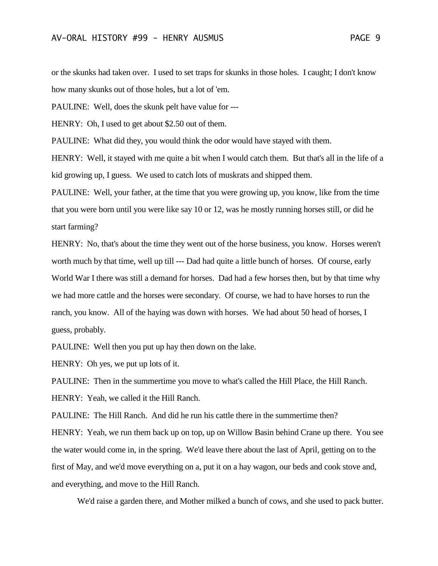or the skunks had taken over. I used to set traps for skunks in those holes. I caught; I don't know how many skunks out of those holes, but a lot of 'em.

PAULINE: Well, does the skunk pelt have value for ---

HENRY: Oh, I used to get about \$2.50 out of them.

PAULINE: What did they, you would think the odor would have stayed with them.

HENRY: Well, it stayed with me quite a bit when I would catch them. But that's all in the life of a kid growing up, I guess. We used to catch lots of muskrats and shipped them.

PAULINE: Well, your father, at the time that you were growing up, you know, like from the time that you were born until you were like say 10 or 12, was he mostly running horses still, or did he start farming?

HENRY: No, that's about the time they went out of the horse business, you know. Horses weren't worth much by that time, well up till --- Dad had quite a little bunch of horses. Of course, early World War I there was still a demand for horses. Dad had a few horses then, but by that time why we had more cattle and the horses were secondary. Of course, we had to have horses to run the ranch, you know. All of the haying was down with horses. We had about 50 head of horses, I guess, probably.

PAULINE: Well then you put up hay then down on the lake.

HENRY: Oh yes, we put up lots of it.

PAULINE: Then in the summertime you move to what's called the Hill Place, the Hill Ranch. HENRY: Yeah, we called it the Hill Ranch.

PAULINE: The Hill Ranch. And did he run his cattle there in the summertime then?

HENRY: Yeah, we run them back up on top, up on Willow Basin behind Crane up there. You see the water would come in, in the spring. We'd leave there about the last of April, getting on to the first of May, and we'd move everything on a, put it on a hay wagon, our beds and cook stove and, and everything, and move to the Hill Ranch.

We'd raise a garden there, and Mother milked a bunch of cows, and she used to pack butter.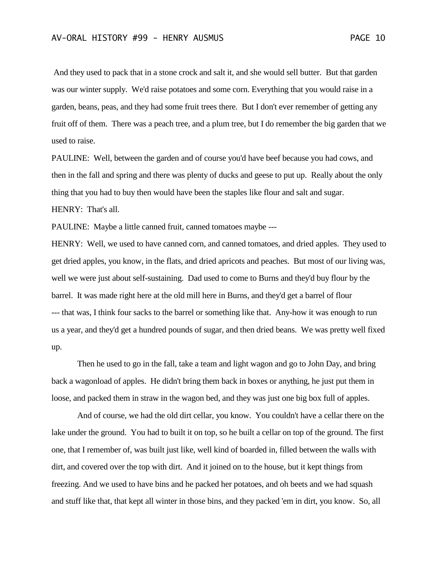And they used to pack that in a stone crock and salt it, and she would sell butter. But that garden was our winter supply. We'd raise potatoes and some corn. Everything that you would raise in a garden, beans, peas, and they had some fruit trees there. But I don't ever remember of getting any fruit off of them. There was a peach tree, and a plum tree, but I do remember the big garden that we used to raise.

PAULINE: Well, between the garden and of course you'd have beef because you had cows, and then in the fall and spring and there was plenty of ducks and geese to put up. Really about the only thing that you had to buy then would have been the staples like flour and salt and sugar. HENRY: That's all.

PAULINE: Maybe a little canned fruit, canned tomatoes maybe ---

HENRY: Well, we used to have canned corn, and canned tomatoes, and dried apples. They used to get dried apples, you know, in the flats, and dried apricots and peaches. But most of our living was, well we were just about self-sustaining. Dad used to come to Burns and they'd buy flour by the barrel. It was made right here at the old mill here in Burns, and they'd get a barrel of flour --- that was, I think four sacks to the barrel or something like that. Any-how it was enough to run us a year, and they'd get a hundred pounds of sugar, and then dried beans. We was pretty well fixed up.

Then he used to go in the fall, take a team and light wagon and go to John Day, and bring back a wagonload of apples. He didn't bring them back in boxes or anything, he just put them in loose, and packed them in straw in the wagon bed, and they was just one big box full of apples.

And of course, we had the old dirt cellar, you know. You couldn't have a cellar there on the lake under the ground. You had to built it on top, so he built a cellar on top of the ground. The first one, that I remember of, was built just like, well kind of boarded in, filled between the walls with dirt, and covered over the top with dirt. And it joined on to the house, but it kept things from freezing. And we used to have bins and he packed her potatoes, and oh beets and we had squash and stuff like that, that kept all winter in those bins, and they packed 'em in dirt, you know. So, all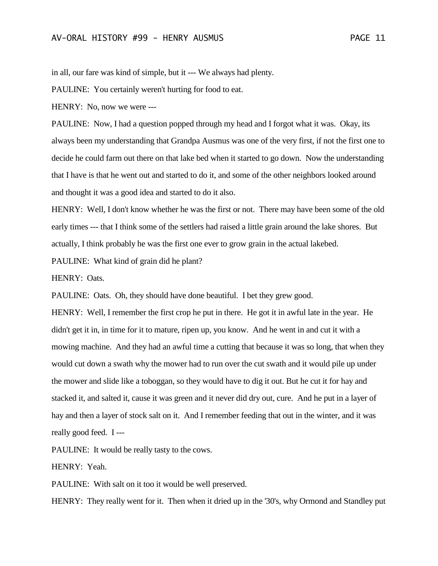in all, our fare was kind of simple, but it --- We always had plenty.

PAULINE: You certainly weren't hurting for food to eat.

HENRY: No, now we were ---

PAULINE: Now, I had a question popped through my head and I forgot what it was. Okay, its always been my understanding that Grandpa Ausmus was one of the very first, if not the first one to decide he could farm out there on that lake bed when it started to go down. Now the understanding that I have is that he went out and started to do it, and some of the other neighbors looked around and thought it was a good idea and started to do it also.

HENRY: Well, I don't know whether he was the first or not. There may have been some of the old early times --- that I think some of the settlers had raised a little grain around the lake shores. But actually, I think probably he was the first one ever to grow grain in the actual lakebed.

PAULINE: What kind of grain did he plant?

HENRY: Oats.

PAULINE: Oats. Oh, they should have done beautiful. I bet they grew good.

HENRY: Well, I remember the first crop he put in there. He got it in awful late in the year. He didn't get it in, in time for it to mature, ripen up, you know. And he went in and cut it with a mowing machine. And they had an awful time a cutting that because it was so long, that when they would cut down a swath why the mower had to run over the cut swath and it would pile up under the mower and slide like a toboggan, so they would have to dig it out. But he cut it for hay and stacked it, and salted it, cause it was green and it never did dry out, cure. And he put in a layer of hay and then a layer of stock salt on it. And I remember feeding that out in the winter, and it was really good feed. I ---

PAULINE: It would be really tasty to the cows.

HENRY: Yeah.

PAULINE: With salt on it too it would be well preserved.

HENRY: They really went for it. Then when it dried up in the '30's, why Ormond and Standley put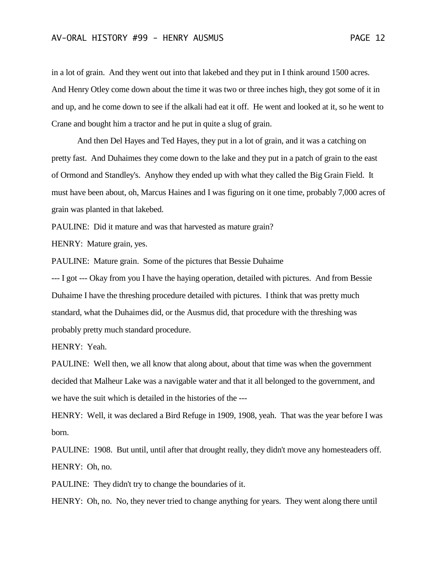in a lot of grain. And they went out into that lakebed and they put in I think around 1500 acres. And Henry Otley come down about the time it was two or three inches high, they got some of it in and up, and he come down to see if the alkali had eat it off. He went and looked at it, so he went to Crane and bought him a tractor and he put in quite a slug of grain.

And then Del Hayes and Ted Hayes, they put in a lot of grain, and it was a catching on pretty fast. And Duhaimes they come down to the lake and they put in a patch of grain to the east of Ormond and Standley's. Anyhow they ended up with what they called the Big Grain Field. It must have been about, oh, Marcus Haines and I was figuring on it one time, probably 7,000 acres of grain was planted in that lakebed.

PAULINE: Did it mature and was that harvested as mature grain?

HENRY: Mature grain, yes.

PAULINE: Mature grain. Some of the pictures that Bessie Duhaime

--- I got --- Okay from you I have the haying operation, detailed with pictures. And from Bessie Duhaime I have the threshing procedure detailed with pictures. I think that was pretty much standard, what the Duhaimes did, or the Ausmus did, that procedure with the threshing was probably pretty much standard procedure.

HENRY: Yeah.

PAULINE: Well then, we all know that along about, about that time was when the government decided that Malheur Lake was a navigable water and that it all belonged to the government, and we have the suit which is detailed in the histories of the ---

HENRY: Well, it was declared a Bird Refuge in 1909, 1908, yeah. That was the year before I was born.

PAULINE: 1908. But until, until after that drought really, they didn't move any homesteaders off. HENRY: Oh, no.

PAULINE: They didn't try to change the boundaries of it.

HENRY: Oh, no. No, they never tried to change anything for years. They went along there until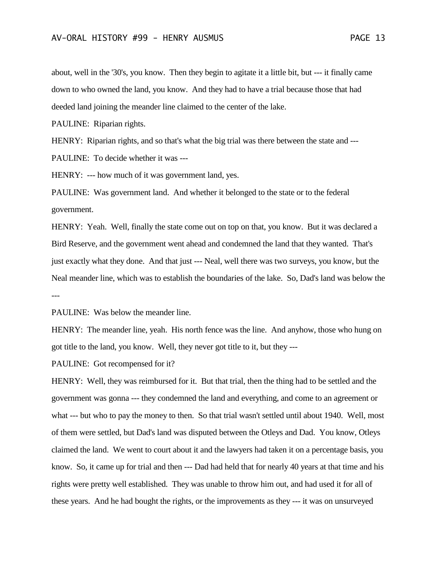about, well in the '30's, you know. Then they begin to agitate it a little bit, but --- it finally came down to who owned the land, you know. And they had to have a trial because those that had deeded land joining the meander line claimed to the center of the lake.

PAULINE: Riparian rights.

HENRY: Riparian rights, and so that's what the big trial was there between the state and ---

PAULINE: To decide whether it was ---

HENRY: --- how much of it was government land, yes.

PAULINE: Was government land. And whether it belonged to the state or to the federal government.

HENRY: Yeah. Well, finally the state come out on top on that, you know. But it was declared a Bird Reserve, and the government went ahead and condemned the land that they wanted. That's just exactly what they done. And that just --- Neal, well there was two surveys, you know, but the Neal meander line, which was to establish the boundaries of the lake. So, Dad's land was below the ---

PAULINE: Was below the meander line.

HENRY: The meander line, yeah. His north fence was the line. And anyhow, those who hung on got title to the land, you know. Well, they never got title to it, but they ---

PAULINE: Got recompensed for it?

HENRY: Well, they was reimbursed for it. But that trial, then the thing had to be settled and the government was gonna --- they condemned the land and everything, and come to an agreement or what --- but who to pay the money to then. So that trial wasn't settled until about 1940. Well, most of them were settled, but Dad's land was disputed between the Otleys and Dad. You know, Otleys claimed the land. We went to court about it and the lawyers had taken it on a percentage basis, you know. So, it came up for trial and then --- Dad had held that for nearly 40 years at that time and his rights were pretty well established. They was unable to throw him out, and had used it for all of these years. And he had bought the rights, or the improvements as they --- it was on unsurveyed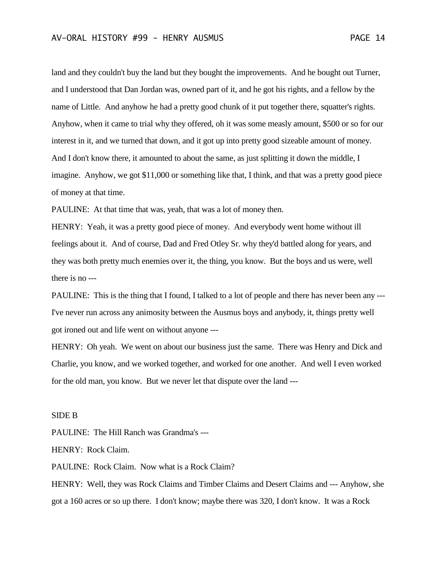land and they couldn't buy the land but they bought the improvements. And he bought out Turner, and I understood that Dan Jordan was, owned part of it, and he got his rights, and a fellow by the name of Little. And anyhow he had a pretty good chunk of it put together there, squatter's rights. Anyhow, when it came to trial why they offered, oh it was some measly amount, \$500 or so for our interest in it, and we turned that down, and it got up into pretty good sizeable amount of money. And I don't know there, it amounted to about the same, as just splitting it down the middle, I imagine. Anyhow, we got \$11,000 or something like that, I think, and that was a pretty good piece of money at that time.

PAULINE: At that time that was, yeah, that was a lot of money then.

HENRY: Yeah, it was a pretty good piece of money. And everybody went home without ill feelings about it. And of course, Dad and Fred Otley Sr. why they'd battled along for years, and they was both pretty much enemies over it, the thing, you know. But the boys and us were, well there is no ---

PAULINE: This is the thing that I found, I talked to a lot of people and there has never been any --- I've never run across any animosity between the Ausmus boys and anybody, it, things pretty well got ironed out and life went on without anyone ---

HENRY: Oh yeah. We went on about our business just the same. There was Henry and Dick and Charlie, you know, and we worked together, and worked for one another. And well I even worked for the old man, you know. But we never let that dispute over the land ---

## SIDE B

PAULINE: The Hill Ranch was Grandma's ---

HENRY: Rock Claim.

PAULINE: Rock Claim. Now what is a Rock Claim?

HENRY: Well, they was Rock Claims and Timber Claims and Desert Claims and --- Anyhow, she got a 160 acres or so up there. I don't know; maybe there was 320, I don't know. It was a Rock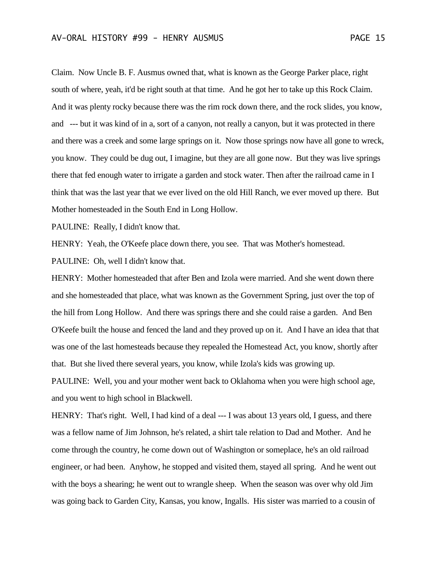Claim. Now Uncle B. F. Ausmus owned that, what is known as the George Parker place, right south of where, yeah, it'd be right south at that time. And he got her to take up this Rock Claim. And it was plenty rocky because there was the rim rock down there, and the rock slides, you know, and --- but it was kind of in a, sort of a canyon, not really a canyon, but it was protected in there and there was a creek and some large springs on it. Now those springs now have all gone to wreck, you know. They could be dug out, I imagine, but they are all gone now. But they was live springs there that fed enough water to irrigate a garden and stock water. Then after the railroad came in I think that was the last year that we ever lived on the old Hill Ranch, we ever moved up there. But Mother homesteaded in the South End in Long Hollow.

PAULINE: Really, I didn't know that.

HENRY: Yeah, the O'Keefe place down there, you see. That was Mother's homestead.

PAULINE: Oh, well I didn't know that.

HENRY: Mother homesteaded that after Ben and Izola were married. And she went down there and she homesteaded that place, what was known as the Government Spring, just over the top of the hill from Long Hollow. And there was springs there and she could raise a garden. And Ben O'Keefe built the house and fenced the land and they proved up on it. And I have an idea that that was one of the last homesteads because they repealed the Homestead Act, you know, shortly after that. But she lived there several years, you know, while Izola's kids was growing up.

PAULINE: Well, you and your mother went back to Oklahoma when you were high school age, and you went to high school in Blackwell.

HENRY: That's right. Well, I had kind of a deal --- I was about 13 years old, I guess, and there was a fellow name of Jim Johnson, he's related, a shirt tale relation to Dad and Mother. And he come through the country, he come down out of Washington or someplace, he's an old railroad engineer, or had been. Anyhow, he stopped and visited them, stayed all spring. And he went out with the boys a shearing; he went out to wrangle sheep. When the season was over why old Jim was going back to Garden City, Kansas, you know, Ingalls. His sister was married to a cousin of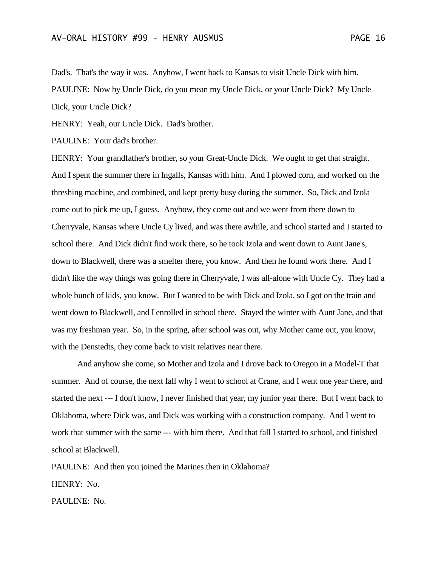Dad's. That's the way it was. Anyhow, I went back to Kansas to visit Uncle Dick with him. PAULINE: Now by Uncle Dick, do you mean my Uncle Dick, or your Uncle Dick? My Uncle Dick, your Uncle Dick?

HENRY: Yeah, our Uncle Dick. Dad's brother.

PAULINE: Your dad's brother.

HENRY: Your grandfather's brother, so your Great-Uncle Dick. We ought to get that straight. And I spent the summer there in Ingalls, Kansas with him. And I plowed corn, and worked on the threshing machine, and combined, and kept pretty busy during the summer. So, Dick and Izola come out to pick me up, I guess. Anyhow, they come out and we went from there down to Cherryvale, Kansas where Uncle Cy lived, and was there awhile, and school started and I started to school there. And Dick didn't find work there, so he took Izola and went down to Aunt Jane's, down to Blackwell, there was a smelter there, you know. And then he found work there. And I didn't like the way things was going there in Cherryvale, I was all-alone with Uncle Cy. They had a whole bunch of kids, you know. But I wanted to be with Dick and Izola, so I got on the train and went down to Blackwell, and I enrolled in school there. Stayed the winter with Aunt Jane, and that was my freshman year. So, in the spring, after school was out, why Mother came out, you know, with the Denstedts, they come back to visit relatives near there.

And anyhow she come, so Mother and Izola and I drove back to Oregon in a Model-T that summer. And of course, the next fall why I went to school at Crane, and I went one year there, and started the next --- I don't know, I never finished that year, my junior year there. But I went back to Oklahoma, where Dick was, and Dick was working with a construction company. And I went to work that summer with the same --- with him there. And that fall I started to school, and finished school at Blackwell.

PAULINE: And then you joined the Marines then in Oklahoma? HENRY: No.

PAULINE: No.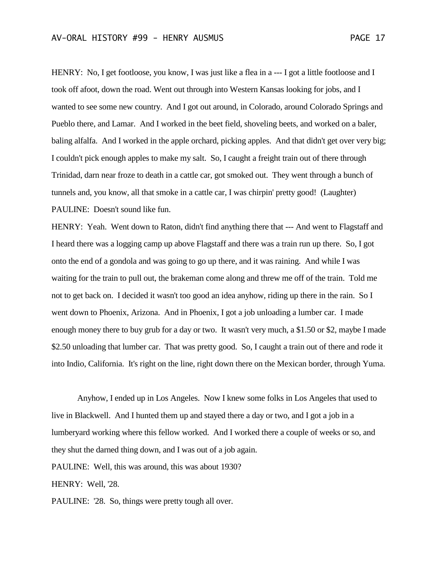HENRY: No, I get footloose, you know, I was just like a flea in a --- I got a little footloose and I took off afoot, down the road. Went out through into Western Kansas looking for jobs, and I wanted to see some new country. And I got out around, in Colorado, around Colorado Springs and Pueblo there, and Lamar. And I worked in the beet field, shoveling beets, and worked on a baler, baling alfalfa. And I worked in the apple orchard, picking apples. And that didn't get over very big; I couldn't pick enough apples to make my salt. So, I caught a freight train out of there through Trinidad, darn near froze to death in a cattle car, got smoked out. They went through a bunch of tunnels and, you know, all that smoke in a cattle car, I was chirpin' pretty good! (Laughter) PAULINE: Doesn't sound like fun.

HENRY: Yeah. Went down to Raton, didn't find anything there that --- And went to Flagstaff and I heard there was a logging camp up above Flagstaff and there was a train run up there. So, I got onto the end of a gondola and was going to go up there, and it was raining. And while I was waiting for the train to pull out, the brakeman come along and threw me off of the train. Told me not to get back on. I decided it wasn't too good an idea anyhow, riding up there in the rain. So I went down to Phoenix, Arizona. And in Phoenix, I got a job unloading a lumber car. I made enough money there to buy grub for a day or two. It wasn't very much, a \$1.50 or \$2, maybe I made \$2.50 unloading that lumber car. That was pretty good. So, I caught a train out of there and rode it into Indio, California. It's right on the line, right down there on the Mexican border, through Yuma.

Anyhow, I ended up in Los Angeles. Now I knew some folks in Los Angeles that used to live in Blackwell. And I hunted them up and stayed there a day or two, and I got a job in a lumberyard working where this fellow worked. And I worked there a couple of weeks or so, and they shut the darned thing down, and I was out of a job again. PAULINE: Well, this was around, this was about 1930? HENRY: Well, '28. PAULINE: '28. So, things were pretty tough all over.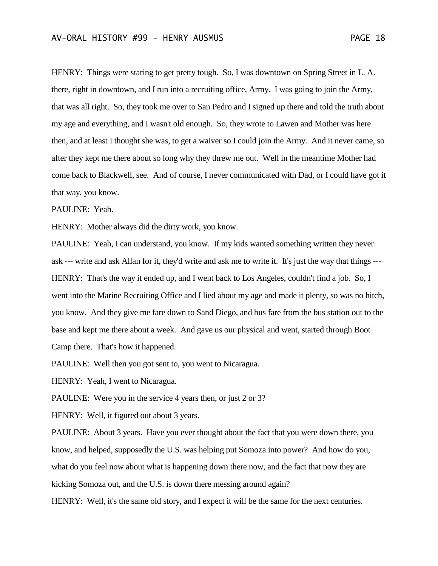HENRY: Things were staring to get pretty tough. So, I was downtown on Spring Street in L. A. there, right in downtown, and I run into a recruiting office, Army. I was going to join the Army, that was all right. So, they took me over to San Pedro and I signed up there and told the truth about my age and everything, and I wasn't old enough. So, they wrote to Lawen and Mother was here then, and at least I thought she was, to get a waiver so I could join the Army. And it never came, so after they kept me there about so long why they threw me out. Well in the meantime Mother had come back to Blackwell, see. And of course, I never communicated with Dad, or I could have got it that way, you know.

PAULINE: Yeah.

HENRY: Mother always did the dirty work, you know.

PAULINE: Yeah, I can understand, you know. If my kids wanted something written they never ask --- write and ask Allan for it, they'd write and ask me to write it. It's just the way that things --- HENRY: That's the way it ended up, and I went back to Los Angeles, couldn't find a job. So, I went into the Marine Recruiting Office and I lied about my age and made it plenty, so was no hitch, you know. And they give me fare down to Sand Diego, and bus fare from the bus station out to the base and kept me there about a week. And gave us our physical and went, started through Boot Camp there. That's how it happened.

PAULINE: Well then you got sent to, you went to Nicaragua.

HENRY: Yeah, I went to Nicaragua.

PAULINE: Were you in the service 4 years then, or just 2 or 3?

HENRY: Well, it figured out about 3 years.

PAULINE: About 3 years. Have you ever thought about the fact that you were down there, you know, and helped, supposedly the U.S. was helping put Somoza into power? And how do you, what do you feel now about what is happening down there now, and the fact that now they are kicking Somoza out, and the U.S. is down there messing around again?

HENRY: Well, it's the same old story, and I expect it will be the same for the next centuries.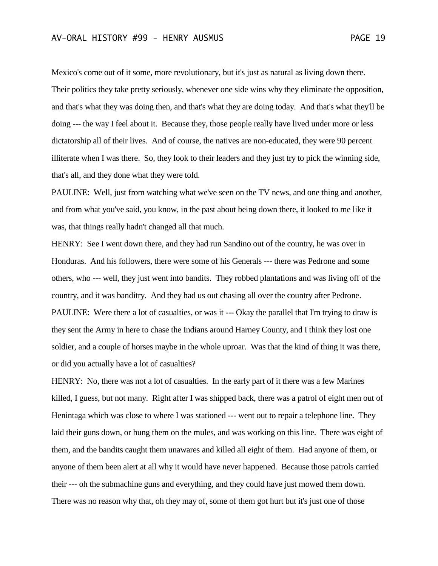Mexico's come out of it some, more revolutionary, but it's just as natural as living down there. Their politics they take pretty seriously, whenever one side wins why they eliminate the opposition, and that's what they was doing then, and that's what they are doing today. And that's what they'll be doing --- the way I feel about it. Because they, those people really have lived under more or less dictatorship all of their lives. And of course, the natives are non-educated, they were 90 percent illiterate when I was there. So, they look to their leaders and they just try to pick the winning side, that's all, and they done what they were told.

PAULINE: Well, just from watching what we've seen on the TV news, and one thing and another, and from what you've said, you know, in the past about being down there, it looked to me like it was, that things really hadn't changed all that much.

HENRY: See I went down there, and they had run Sandino out of the country, he was over in Honduras. And his followers, there were some of his Generals --- there was Pedrone and some others, who --- well, they just went into bandits. They robbed plantations and was living off of the country, and it was banditry. And they had us out chasing all over the country after Pedrone. PAULINE: Were there a lot of casualties, or was it --- Okay the parallel that I'm trying to draw is they sent the Army in here to chase the Indians around Harney County, and I think they lost one soldier, and a couple of horses maybe in the whole uproar. Was that the kind of thing it was there, or did you actually have a lot of casualties?

HENRY: No, there was not a lot of casualties. In the early part of it there was a few Marines killed, I guess, but not many. Right after I was shipped back, there was a patrol of eight men out of Henintaga which was close to where I was stationed --- went out to repair a telephone line. They laid their guns down, or hung them on the mules, and was working on this line. There was eight of them, and the bandits caught them unawares and killed all eight of them. Had anyone of them, or anyone of them been alert at all why it would have never happened. Because those patrols carried their --- oh the submachine guns and everything, and they could have just mowed them down. There was no reason why that, oh they may of, some of them got hurt but it's just one of those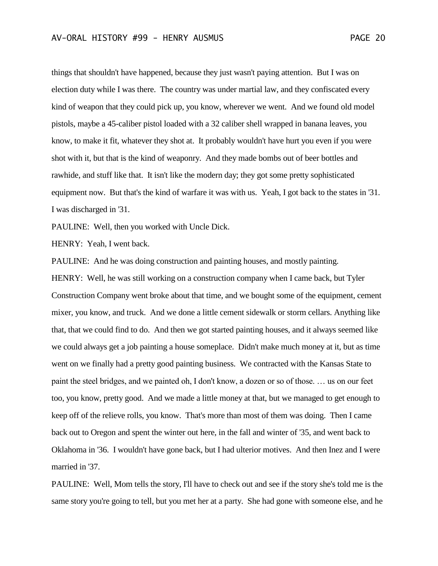things that shouldn't have happened, because they just wasn't paying attention. But I was on election duty while I was there. The country was under martial law, and they confiscated every kind of weapon that they could pick up, you know, wherever we went. And we found old model pistols, maybe a 45-caliber pistol loaded with a 32 caliber shell wrapped in banana leaves, you know, to make it fit, whatever they shot at. It probably wouldn't have hurt you even if you were shot with it, but that is the kind of weaponry. And they made bombs out of beer bottles and rawhide, and stuff like that. It isn't like the modern day; they got some pretty sophisticated equipment now. But that's the kind of warfare it was with us. Yeah, I got back to the states in '31. I was discharged in '31.

PAULINE: Well, then you worked with Uncle Dick.

HENRY: Yeah, I went back.

PAULINE: And he was doing construction and painting houses, and mostly painting.

HENRY: Well, he was still working on a construction company when I came back, but Tyler Construction Company went broke about that time, and we bought some of the equipment, cement mixer, you know, and truck. And we done a little cement sidewalk or storm cellars. Anything like that, that we could find to do. And then we got started painting houses, and it always seemed like we could always get a job painting a house someplace. Didn't make much money at it, but as time went on we finally had a pretty good painting business. We contracted with the Kansas State to paint the steel bridges, and we painted oh, I don't know, a dozen or so of those. … us on our feet too, you know, pretty good. And we made a little money at that, but we managed to get enough to keep off of the relieve rolls, you know. That's more than most of them was doing. Then I came back out to Oregon and spent the winter out here, in the fall and winter of '35, and went back to Oklahoma in '36. I wouldn't have gone back, but I had ulterior motives. And then Inez and I were married in '37.

PAULINE: Well, Mom tells the story, I'll have to check out and see if the story she's told me is the same story you're going to tell, but you met her at a party. She had gone with someone else, and he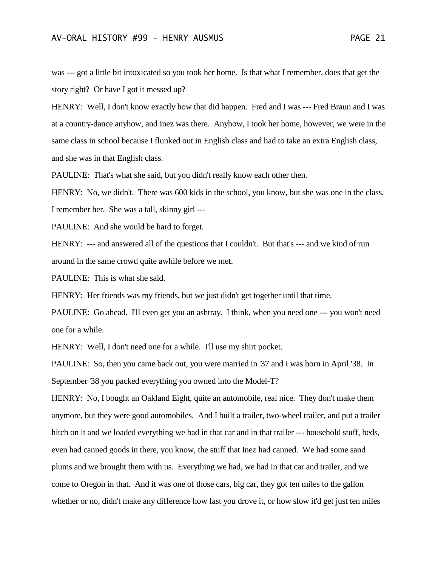was --- got a little bit intoxicated so you took her home. Is that what I remember, does that get the story right? Or have I got it messed up?

HENRY: Well, I don't know exactly how that did happen. Fred and I was --- Fred Braun and I was at a country-dance anyhow, and Inez was there. Anyhow, I took her home, however, we were in the same class in school because I flunked out in English class and had to take an extra English class, and she was in that English class.

PAULINE: That's what she said, but you didn't really know each other then.

HENRY: No, we didn't. There was 600 kids in the school, you know, but she was one in the class, I remember her. She was a tall, skinny girl ---

PAULINE: And she would be hard to forget.

HENRY: --- and answered all of the questions that I couldn't. But that's --- and we kind of run around in the same crowd quite awhile before we met.

PAULINE: This is what she said.

HENRY: Her friends was my friends, but we just didn't get together until that time.

PAULINE: Go ahead. I'll even get you an ashtray. I think, when you need one --- you won't need one for a while.

HENRY: Well, I don't need one for a while. I'll use my shirt pocket.

PAULINE: So, then you came back out, you were married in '37 and I was born in April '38. In September '38 you packed everything you owned into the Model-T?

HENRY: No, I bought an Oakland Eight, quite an automobile, real nice. They don't make them anymore, but they were good automobiles. And I built a trailer, two-wheel trailer, and put a trailer hitch on it and we loaded everything we had in that car and in that trailer --- household stuff, beds, even had canned goods in there, you know, the stuff that Inez had canned. We had some sand plums and we brought them with us. Everything we had, we had in that car and trailer, and we come to Oregon in that. And it was one of those cars, big car, they got ten miles to the gallon whether or no, didn't make any difference how fast you drove it, or how slow it'd get just ten miles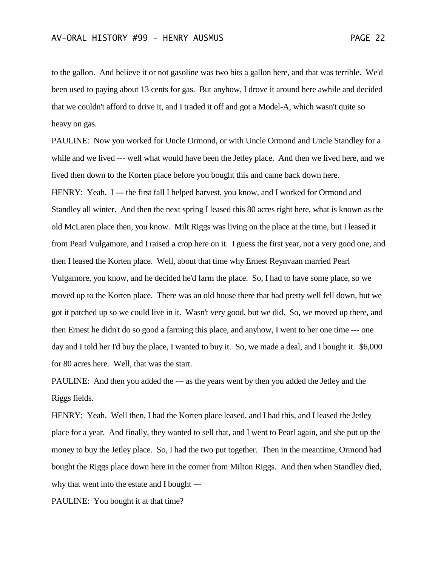to the gallon. And believe it or not gasoline was two bits a gallon here, and that was terrible. We'd been used to paying about 13 cents for gas. But anyhow, I drove it around here awhile and decided that we couldn't afford to drive it, and I traded it off and got a Model-A, which wasn't quite so heavy on gas.

PAULINE: Now you worked for Uncle Ormond, or with Uncle Ormond and Uncle Standley for a while and we lived --- well what would have been the Jetley place. And then we lived here, and we lived then down to the Korten place before you bought this and came back down here. HENRY: Yeah. I --- the first fall I helped harvest, you know, and I worked for Ormond and Standley all winter. And then the next spring I leased this 80 acres right here, what is known as the old McLaren place then, you know. Milt Riggs was living on the place at the time, but I leased it from Pearl Vulgamore, and I raised a crop here on it. I guess the first year, not a very good one, and then I leased the Korten place. Well, about that time why Ernest Reynvaan married Pearl Vulgamore, you know, and he decided he'd farm the place. So, I had to have some place, so we moved up to the Korten place. There was an old house there that had pretty well fell down, but we got it patched up so we could live in it. Wasn't very good, but we did. So, we moved up there, and then Ernest he didn't do so good a farming this place, and anyhow, I went to her one time --- one day and I told her I'd buy the place, I wanted to buy it. So, we made a deal, and I bought it. \$6,000 for 80 acres here. Well, that was the start.

PAULINE: And then you added the --- as the years went by then you added the Jetley and the Riggs fields.

HENRY: Yeah. Well then, I had the Korten place leased, and I had this, and I leased the Jetley place for a year. And finally, they wanted to sell that, and I went to Pearl again, and she put up the money to buy the Jetley place. So, I had the two put together. Then in the meantime, Ormond had bought the Riggs place down here in the corner from Milton Riggs. And then when Standley died, why that went into the estate and I bought ---

PAULINE: You bought it at that time?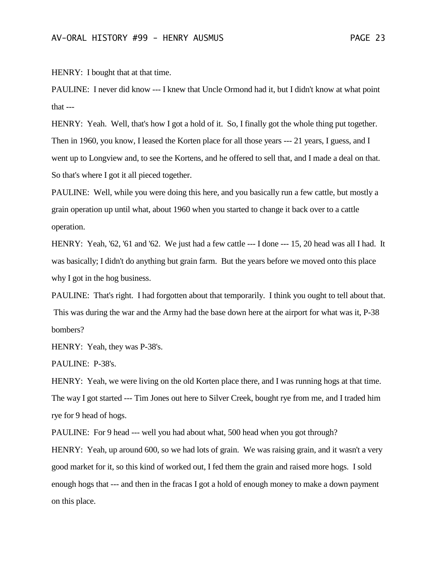HENRY: I bought that at that time.

PAULINE: I never did know --- I knew that Uncle Ormond had it, but I didn't know at what point that ---

HENRY: Yeah. Well, that's how I got a hold of it. So, I finally got the whole thing put together. Then in 1960, you know, I leased the Korten place for all those years --- 21 years, I guess, and I went up to Longview and, to see the Kortens, and he offered to sell that, and I made a deal on that. So that's where I got it all pieced together.

PAULINE: Well, while you were doing this here, and you basically run a few cattle, but mostly a grain operation up until what, about 1960 when you started to change it back over to a cattle operation.

HENRY: Yeah, '62, '61 and '62. We just had a few cattle --- I done --- 15, 20 head was all I had. It was basically; I didn't do anything but grain farm. But the years before we moved onto this place why I got in the hog business.

PAULINE: That's right. I had forgotten about that temporarily. I think you ought to tell about that. This was during the war and the Army had the base down here at the airport for what was it, P-38 bombers?

HENRY: Yeah, they was P-38's.

PAULINE: P-38's.

HENRY: Yeah, we were living on the old Korten place there, and I was running hogs at that time. The way I got started --- Tim Jones out here to Silver Creek, bought rye from me, and I traded him rye for 9 head of hogs.

PAULINE: For 9 head --- well you had about what, 500 head when you got through?

HENRY: Yeah, up around 600, so we had lots of grain. We was raising grain, and it wasn't a very good market for it, so this kind of worked out, I fed them the grain and raised more hogs. I sold enough hogs that --- and then in the fracas I got a hold of enough money to make a down payment on this place.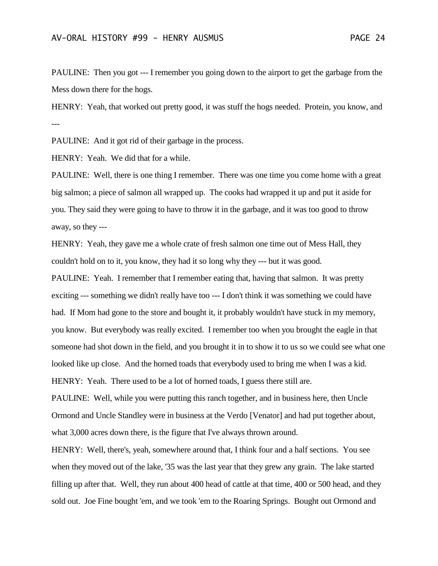PAULINE: Then you got --- I remember you going down to the airport to get the garbage from the Mess down there for the hogs.

HENRY: Yeah, that worked out pretty good, it was stuff the hogs needed. Protein, you know, and ---

PAULINE: And it got rid of their garbage in the process.

HENRY: Yeah. We did that for a while.

PAULINE: Well, there is one thing I remember. There was one time you come home with a great big salmon; a piece of salmon all wrapped up. The cooks had wrapped it up and put it aside for you. They said they were going to have to throw it in the garbage, and it was too good to throw away, so they ---

HENRY: Yeah, they gave me a whole crate of fresh salmon one time out of Mess Hall, they couldn't hold on to it, you know, they had it so long why they --- but it was good.

PAULINE: Yeah. I remember that I remember eating that, having that salmon. It was pretty exciting --- something we didn't really have too --- I don't think it was something we could have had. If Mom had gone to the store and bought it, it probably wouldn't have stuck in my memory, you know. But everybody was really excited. I remember too when you brought the eagle in that someone had shot down in the field, and you brought it in to show it to us so we could see what one looked like up close. And the horned toads that everybody used to bring me when I was a kid. HENRY: Yeah. There used to be a lot of horned toads, I guess there still are.

PAULINE: Well, while you were putting this ranch together, and in business here, then Uncle Ormond and Uncle Standley were in business at the Verdo [Venator] and had put together about, what 3,000 acres down there, is the figure that I've always thrown around.

HENRY: Well, there's, yeah, somewhere around that, I think four and a half sections. You see when they moved out of the lake, '35 was the last year that they grew any grain. The lake started filling up after that. Well, they run about 400 head of cattle at that time, 400 or 500 head, and they sold out. Joe Fine bought 'em, and we took 'em to the Roaring Springs. Bought out Ormond and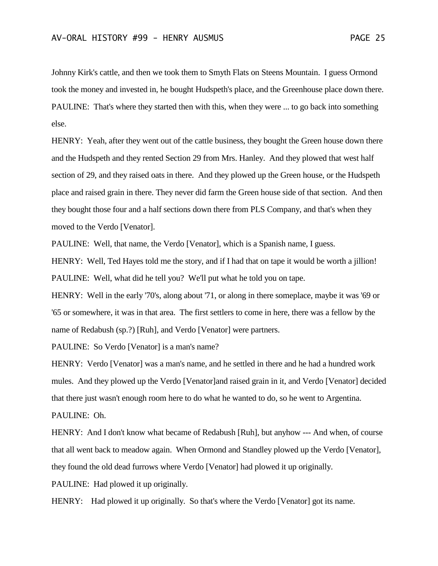Johnny Kirk's cattle, and then we took them to Smyth Flats on Steens Mountain. I guess Ormond took the money and invested in, he bought Hudspeth's place, and the Greenhouse place down there. PAULINE: That's where they started then with this, when they were ... to go back into something else.

HENRY: Yeah, after they went out of the cattle business, they bought the Green house down there and the Hudspeth and they rented Section 29 from Mrs. Hanley. And they plowed that west half section of 29, and they raised oats in there. And they plowed up the Green house, or the Hudspeth place and raised grain in there. They never did farm the Green house side of that section. And then they bought those four and a half sections down there from PLS Company, and that's when they moved to the Verdo [Venator].

PAULINE: Well, that name, the Verdo [Venator], which is a Spanish name, I guess.

HENRY: Well, Ted Hayes told me the story, and if I had that on tape it would be worth a jillion! PAULINE: Well, what did he tell you? We'll put what he told you on tape.

HENRY: Well in the early '70's, along about '71, or along in there someplace, maybe it was '69 or '65 or somewhere, it was in that area. The first settlers to come in here, there was a fellow by the name of Redabush (sp.?) [Ruh], and Verdo [Venator] were partners.

PAULINE: So Verdo [Venator] is a man's name?

HENRY: Verdo [Venator] was a man's name, and he settled in there and he had a hundred work mules. And they plowed up the Verdo [Venator]and raised grain in it, and Verdo [Venator] decided that there just wasn't enough room here to do what he wanted to do, so he went to Argentina. PAULINE: Oh.

HENRY: And I don't know what became of Redabush [Ruh], but anyhow --- And when, of course that all went back to meadow again. When Ormond and Standley plowed up the Verdo [Venator], they found the old dead furrows where Verdo [Venator] had plowed it up originally.

PAULINE: Had plowed it up originally.

HENRY: Had plowed it up originally. So that's where the Verdo [Venator] got its name.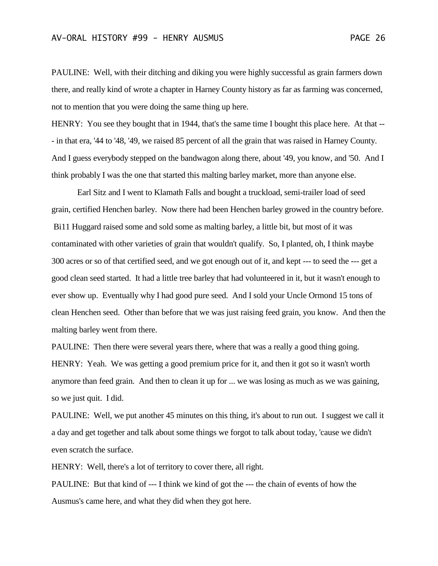PAULINE: Well, with their ditching and diking you were highly successful as grain farmers down there, and really kind of wrote a chapter in Harney County history as far as farming was concerned, not to mention that you were doing the same thing up here.

HENRY: You see they bought that in 1944, that's the same time I bought this place here. At that --- in that era, '44 to '48, '49, we raised 85 percent of all the grain that was raised in Harney County. And I guess everybody stepped on the bandwagon along there, about '49, you know, and '50. And I think probably I was the one that started this malting barley market, more than anyone else.

Earl Sitz and I went to Klamath Falls and bought a truckload, semi-trailer load of seed grain, certified Henchen barley. Now there had been Henchen barley growed in the country before. Bi11 Huggard raised some and sold some as malting barley, a little bit, but most of it was contaminated with other varieties of grain that wouldn't qualify. So, I planted, oh, I think maybe 300 acres or so of that certified seed, and we got enough out of it, and kept --- to seed the --- get a good clean seed started. It had a little tree barley that had volunteered in it, but it wasn't enough to ever show up. Eventually why I had good pure seed. And I sold your Uncle Ormond 15 tons of clean Henchen seed. Other than before that we was just raising feed grain, you know. And then the malting barley went from there.

PAULINE: Then there were several years there, where that was a really a good thing going. HENRY: Yeah. We was getting a good premium price for it, and then it got so it wasn't worth anymore than feed grain. And then to clean it up for ... we was losing as much as we was gaining, so we just quit. I did.

PAULINE: Well, we put another 45 minutes on this thing, it's about to run out. I suggest we call it a day and get together and talk about some things we forgot to talk about today, 'cause we didn't even scratch the surface.

HENRY: Well, there's a lot of territory to cover there, all right.

PAULINE: But that kind of --- I think we kind of got the --- the chain of events of how the Ausmus's came here, and what they did when they got here.